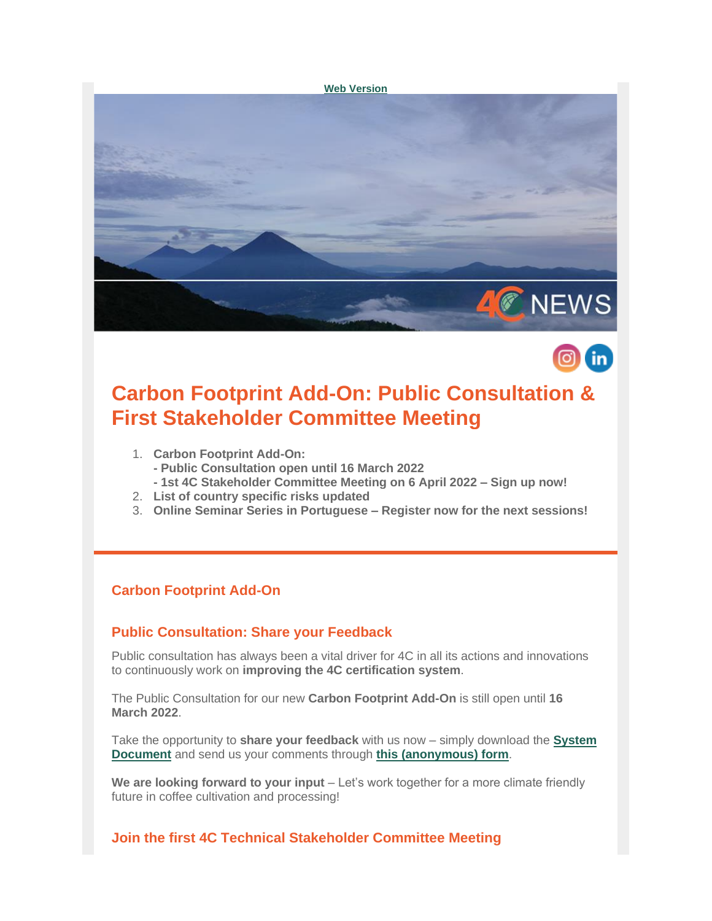



# **Carbon Footprint Add-On: Public Consultation & First Stakeholder Committee Meeting**

- 1. **Carbon Footprint Add-On:**
	- **- Public Consultation open until 16 March 2022**
	- **- 1st 4C Stakeholder Committee Meeting on 6 April 2022 – Sign up now!**
- 2. **List of country specific risks updated**
- 3. **Online Seminar Series in Portuguese – Register now for the next sessions!**

## **Carbon Footprint Add-On**

### **Public Consultation: Share your Feedback**

Public consultation has always been a vital driver for 4C in all its actions and innovations to continuously work on **improving the 4C certification system**.

The Public Consultation for our new **Carbon Footprint Add-On** is still open until **16 March 2022**.

Take the opportunity to **share your feedback** with us now – simply download the **[System](https://amxe.net/io0aec4n-io1198mt-873q02vr-8qy)  [Document](https://amxe.net/io0aec4n-io1198mt-873q02vr-8qy)** and send us your comments through **[this \(anonymous\) form](https://amxe.net/io0aec4n-io1198mt-boenxaxu-eqo)**.

**We are looking forward to your input** – Let's work together for a more climate friendly future in coffee cultivation and processing!

### **Join the first 4C Technical Stakeholder Committee Meeting**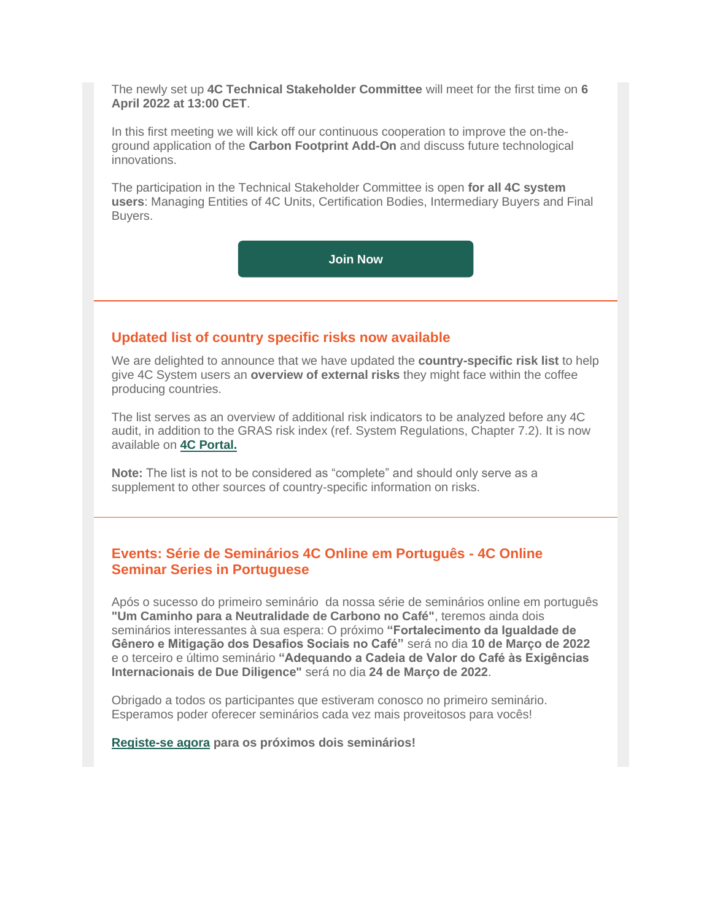The newly set up **4C Technical Stakeholder Committee** will meet for the first time on **6 April 2022 at 13:00 CET**.

In this first meeting we will kick off our continuous cooperation to improve the on-theground application of the **Carbon Footprint Add-On** and discuss future technological innovations.

The participation in the Technical Stakeholder Committee is open **for all 4C system users**: Managing Entities of 4C Units, Certification Bodies, Intermediary Buyers and Final Buyers.

**[Join Now](https://amxe.net/io0aec4n-io1198mt-eqwjfa9j-lhc)**

#### **Updated list of country specific risks now available**

We are delighted to announce that we have updated the **country-specific risk list** to help give 4C System users an **overview of external risks** they might face within the coffee producing countries.

The list serves as an overview of additional risk indicators to be analyzed before any 4C audit, in addition to the GRAS risk index (ref. System Regulations, Chapter 7.2). It is now available on **[4C Portal.](https://amxe.net/io0aec4n-io1198mt-i95qzfle-d3w)**

**Note:** The list is not to be considered as "complete" and should only serve as a supplement to other sources of country-specific information on risks.

#### **Events: Série de Seminários 4C Online em Português - 4C Online Seminar Series in Portuguese**

Após o sucesso do primeiro seminário da nossa série de seminários online em português **"Um Caminho para a Neutralidade de Carbono no Café"**, teremos ainda dois seminários interessantes à sua espera: O próximo **"Fortalecimento da Igualdade de Gênero e Mitigação dos Desafios Sociais no Café"** será no dia **10 de Março de 2022** e o terceiro e último seminário **"Adequando a Cadeia de Valor do Café às Exigências Internacionais de Due Diligence"** será no dia **24 de Março de 2022**.

Obrigado a todos os participantes que estiveram conosco no primeiro seminário. Esperamos poder oferecer seminários cada vez mais proveitosos para vocês!

#### **[Registe-se agora](https://amxe.net/io0aec4n-io1198mt-mrzba6sn-ldd) para os próximos dois seminários!**